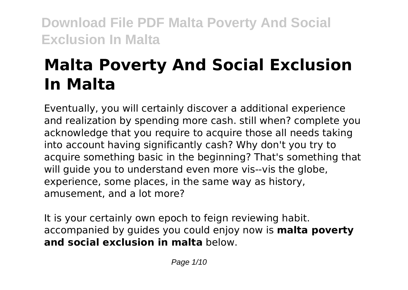# **Malta Poverty And Social Exclusion In Malta**

Eventually, you will certainly discover a additional experience and realization by spending more cash. still when? complete you acknowledge that you require to acquire those all needs taking into account having significantly cash? Why don't you try to acquire something basic in the beginning? That's something that will guide you to understand even more vis--vis the globe, experience, some places, in the same way as history, amusement, and a lot more?

It is your certainly own epoch to feign reviewing habit. accompanied by guides you could enjoy now is **malta poverty and social exclusion in malta** below.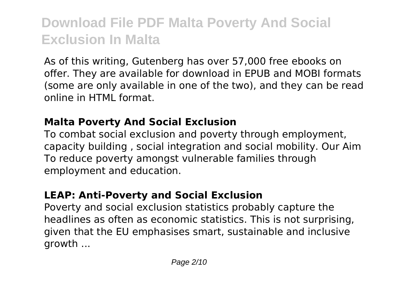As of this writing, Gutenberg has over 57,000 free ebooks on offer. They are available for download in EPUB and MOBI formats (some are only available in one of the two), and they can be read online in HTML format.

### **Malta Poverty And Social Exclusion**

To combat social exclusion and poverty through employment, capacity building , social integration and social mobility. Our Aim To reduce poverty amongst vulnerable families through employment and education.

### **LEAP: Anti-Poverty and Social Exclusion**

Poverty and social exclusion statistics probably capture the headlines as often as economic statistics. This is not surprising, given that the EU emphasises smart, sustainable and inclusive growth ...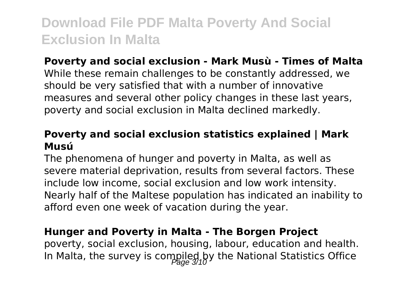#### **Poverty and social exclusion - Mark Musù - Times of Malta**

While these remain challenges to be constantly addressed, we should be very satisfied that with a number of innovative measures and several other policy changes in these last years, poverty and social exclusion in Malta declined markedly.

#### **Poverty and social exclusion statistics explained | Mark Musú**

The phenomena of hunger and poverty in Malta, as well as severe material deprivation, results from several factors. These include low income, social exclusion and low work intensity. Nearly half of the Maltese population has indicated an inability to afford even one week of vacation during the year.

#### **Hunger and Poverty in Malta - The Borgen Project**

poverty, social exclusion, housing, labour, education and health. In Malta, the survey is compiled by the National Statistics Office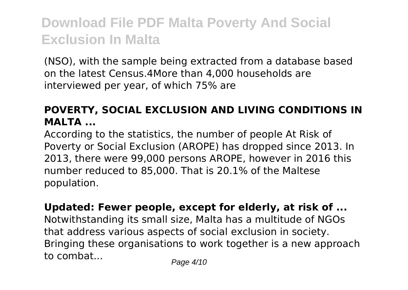(NSO), with the sample being extracted from a database based on the latest Census.4More than 4,000 households are interviewed per year, of which 75% are

### **POVERTY, SOCIAL EXCLUSION AND LIVING CONDITIONS IN MALTA ...**

According to the statistics, the number of people At Risk of Poverty or Social Exclusion (AROPE) has dropped since 2013. In 2013, there were 99,000 persons AROPE, however in 2016 this number reduced to 85,000. That is 20.1% of the Maltese population.

#### **Updated: Fewer people, except for elderly, at risk of ...**

Notwithstanding its small size, Malta has a multitude of NGOs that address various aspects of social exclusion in society. Bringing these organisations to work together is a new approach to combat...  $P_{\text{a}q} = 4/10$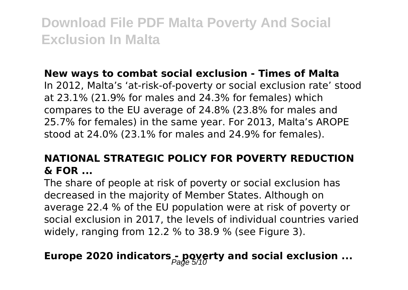#### **New ways to combat social exclusion - Times of Malta**

In 2012, Malta's 'at-risk-of-poverty or social exclusion rate' stood at 23.1% (21.9% for males and 24.3% for females) which compares to the EU average of 24.8% (23.8% for males and 25.7% for females) in the same year. For 2013, Malta's AROPE stood at 24.0% (23.1% for males and 24.9% for females).

### **NATIONAL STRATEGIC POLICY FOR POVERTY REDUCTION & FOR ...**

The share of people at risk of poverty or social exclusion has decreased in the majority of Member States. Although on average 22.4 % of the EU population were at risk of poverty or social exclusion in 2017, the levels of individual countries varied widely, ranging from 12.2 % to 38.9 % (see Figure 3).

### **Europe 2020 indicators - poverty and social exclusion ...**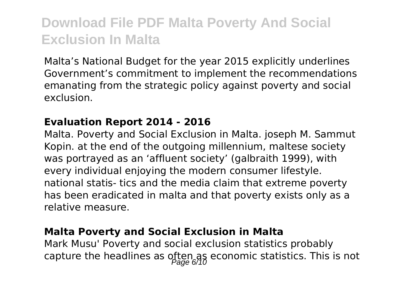Malta's National Budget for the year 2015 explicitly underlines Government's commitment to implement the recommendations emanating from the strategic policy against poverty and social exclusion.

#### **Evaluation Report 2014 - 2016**

Malta. Poverty and Social Exclusion in Malta. joseph M. Sammut Kopin. at the end of the outgoing millennium, maltese society was portrayed as an 'affluent society' (galbraith 1999), with every individual enjoying the modern consumer lifestyle. national statis- tics and the media claim that extreme poverty has been eradicated in malta and that poverty exists only as a relative measure.

#### **Malta Poverty and Social Exclusion in Malta**

Mark Musu' Poverty and social exclusion statistics probably capture the headlines as often as economic statistics. This is not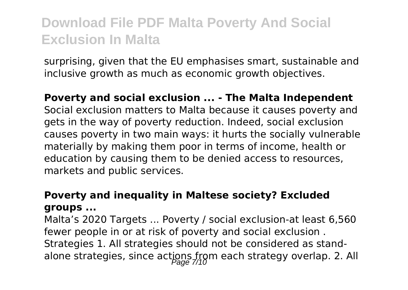surprising, given that the EU emphasises smart, sustainable and inclusive growth as much as economic growth objectives.

**Poverty and social exclusion ... - The Malta Independent** Social exclusion matters to Malta because it causes poverty and gets in the way of poverty reduction. Indeed, social exclusion causes poverty in two main ways: it hurts the socially vulnerable materially by making them poor in terms of income, health or education by causing them to be denied access to resources, markets and public services.

### **Poverty and inequality in Maltese society? Excluded groups ...**

Malta's 2020 Targets ... Poverty / social exclusion-at least 6,560 fewer people in or at risk of poverty and social exclusion . Strategies 1. All strategies should not be considered as standalone strategies, since actions from each strategy overlap. 2. All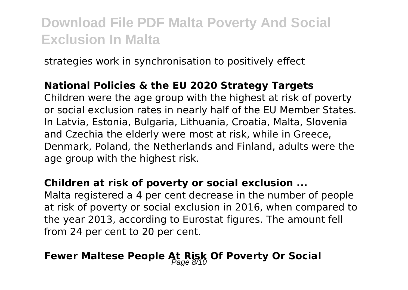strategies work in synchronisation to positively effect

### **National Policies & the EU 2020 Strategy Targets**

Children were the age group with the highest at risk of poverty or social exclusion rates in nearly half of the EU Member States. In Latvia, Estonia, Bulgaria, Lithuania, Croatia, Malta, Slovenia and Czechia the elderly were most at risk, while in Greece, Denmark, Poland, the Netherlands and Finland, adults were the age group with the highest risk.

### **Children at risk of poverty or social exclusion ...**

Malta registered a 4 per cent decrease in the number of people at risk of poverty or social exclusion in 2016, when compared to the year 2013, according to Eurostat figures. The amount fell from 24 per cent to 20 per cent.

### Fewer Maltese People At Risk Of Poverty Or Social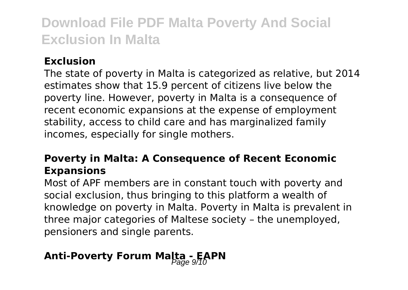### **Exclusion**

The state of poverty in Malta is categorized as relative, but 2014 estimates show that 15.9 percent of citizens live below the poverty line. However, poverty in Malta is a consequence of recent economic expansions at the expense of employment stability, access to child care and has marginalized family incomes, especially for single mothers.

### **Poverty in Malta: A Consequence of Recent Economic Expansions**

Most of APF members are in constant touch with poverty and social exclusion, thus bringing to this platform a wealth of knowledge on poverty in Malta. Poverty in Malta is prevalent in three major categories of Maltese society – the unemployed, pensioners and single parents.

### **Anti-Poverty Forum Malta - EAPN**